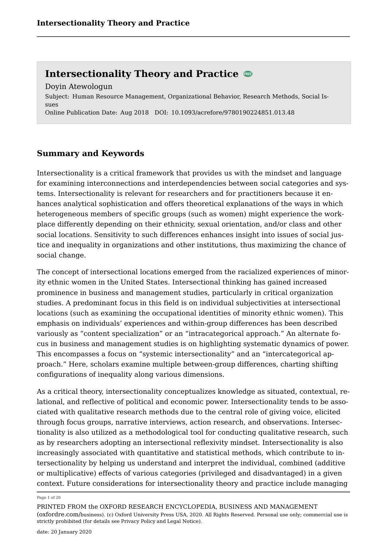Subject: Human Resource Management, Organizational Behavior, Research Methods, Social Issues Online Publication Date: Aug 2018 DOI: 10.1093/acrefore/9780190224851.013.48 Doyin Atewologun

## **Summary and Keywords**

Intersectionality is a critical framework that provides us with the mindset and language for examining interconnections and interdependencies between social categories and systems. Intersectionality is relevant for researchers and for practitioners because it enhances analytical sophistication and offers theoretical explanations of the ways in which heterogeneous members of specific groups (such as women) might experience the workplace differently depending on their ethnicity, sexual orientation, and/or class and other social locations. Sensitivity to such differences enhances insight into issues of social justice and inequality in organizations and other institutions, thus maximizing the chance of social change.

The concept of intersectional locations emerged from the racialized experiences of minority ethnic women in the United States. Intersectional thinking has gained increased prominence in business and management studies, particularly in critical organization studies. A predominant focus in this field is on individual subjectivities at intersectional locations (such as examining the occupational identities of minority ethnic women). This emphasis on individuals' experiences and within-group differences has been described variously as "content specialization" or an "intracategorical approach." An alternate focus in business and management studies is on highlighting systematic dynamics of power. This encompasses a focus on "systemic intersectionality" and an "intercategorical approach." Here, scholars examine multiple between-group differences, charting shifting configurations of inequality along various dimensions.

As a critical theory, intersectionality conceptualizes knowledge as situated, contextual, relational, and reflective of political and economic power. Intersectionality tends to be associated with qualitative research methods due to the central role of giving voice, elicited through focus groups, narrative interviews, action research, and observations. Intersectionality is also utilized as a methodological tool for conducting qualitative research, such as by researchers adopting an intersectional reflexivity mindset. Intersectionality is also increasingly associated with quantitative and statistical methods, which contribute to intersectionality by helping us understand and interpret the individual, combined (additive or multiplicative) effects of various categories (privileged and disadvantaged) in a given context. Future considerations for intersectionality theory and practice include managing

#### Page 1 of 20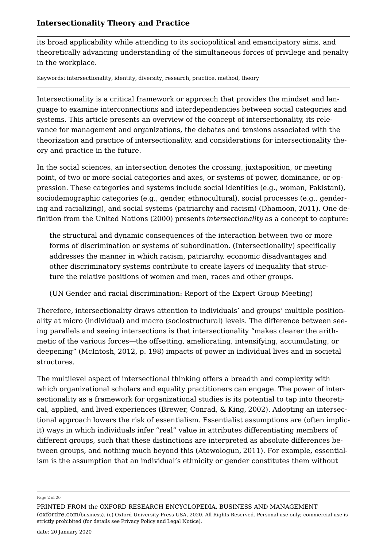its broad applicability while attending to its sociopolitical and emancipatory aims, and theoretically advancing understanding of the simultaneous forces of privilege and penalty in the workplace.

Keywords: intersectionality, identity, diversity, research, practice, method, theory

Intersectionality is a critical framework or approach that provides the mindset and language to examine interconnections and interdependencies between social categories and systems. This article presents an overview of the concept of intersectionality, its relevance for management and organizations, the debates and tensions associated with the theorization and practice of intersectionality, and considerations for intersectionality theory and practice in the future.

In the social sciences, an intersection denotes the crossing, juxtaposition, or meeting point, of two or more social categories and axes, or systems of power, dominance, or oppression. These categories and systems include social identities (e.g., woman, Pakistani), sociodemographic categories (e.g., gender, ethnocultural), social processes (e.g., gendering and racializing), and social systems (patriarchy and racism) (Dhamoon, 2011). One definition from the United Nations (2000) presents *intersectionality* as a concept to capture:

the structural and dynamic consequences of the interaction between two or more forms of discrimination or systems of subordination. (Intersectionality) specifically addresses the manner in which racism, patriarchy, economic disadvantages and other discriminatory systems contribute to create layers of inequality that structure the relative positions of women and men, races and other groups.

(UN Gender and racial discrimination: Report of the Expert Group Meeting)

Therefore, intersectionality draws attention to individuals' and groups' multiple positionality at micro (individual) and macro (sociostructural) levels. The difference between seeing parallels and seeing intersections is that intersectionality "makes clearer the arithmetic of the various forces—the offsetting, ameliorating, intensifying, accumulating, or deepening" (McIntosh, 2012, p. 198) impacts of power in individual lives and in societal structures.

The multilevel aspect of intersectional thinking offers a breadth and complexity with which organizational scholars and equality practitioners can engage. The power of intersectionality as a framework for organizational studies is its potential to tap into theoretical, applied, and lived experiences (Brewer, Conrad, & King, 2002). Adopting an intersectional approach lowers the risk of essentialism. Essentialist assumptions are (often implicit) ways in which individuals infer "real" value in attributes differentiating members of different groups, such that these distinctions are interpreted as absolute differences between groups, and nothing much beyond this (Atewologun, 2011). For example, essentialism is the assumption that an individual's ethnicity or gender constitutes them without

Page 2 of 20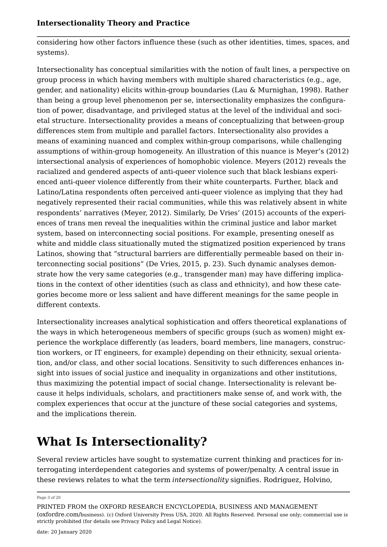considering how other factors influence these (such as other identities, times, spaces, and systems).

Intersectionality has conceptual similarities with the notion of fault lines, a perspective on group process in which having members with multiple shared characteristics (e.g., age, gender, and nationality) elicits within-group boundaries (Lau & Murnighan, 1998). Rather than being a group level phenomenon per se, intersectionality emphasizes the configuration of power, disadvantage, and privileged status at the level of the individual and societal structure. Intersectionality provides a means of conceptualizing that between-group differences stem from multiple and parallel factors. Intersectionality also provides a means of examining nuanced and complex within-group comparisons, while challenging assumptions of within-group homogeneity. An illustration of this nuance is Meyer's (2012) intersectional analysis of experiences of homophobic violence. Meyers (2012) reveals the racialized and gendered aspects of anti-queer violence such that black lesbians experienced anti-queer violence differently from their white counterparts. Further, black and Latino/Latina respondents often perceived anti-queer violence as implying that they had negatively represented their racial communities, while this was relatively absent in white respondents' narratives (Meyer, 2012). Similarly, De Vries' (2015) accounts of the experiences of trans men reveal the inequalities within the criminal justice and labor market system, based on interconnecting social positions. For example, presenting oneself as white and middle class situationally muted the stigmatized position experienced by trans Latinos, showing that "structural barriers are differentially permeable based on their interconnecting social positions" (De Vries, 2015, p. 23). Such dynamic analyses demonstrate how the very same categories (e.g., transgender man) may have differing implications in the context of other identities (such as class and ethnicity), and how these categories become more or less salient and have different meanings for the same people in different contexts.

Intersectionality increases analytical sophistication and offers theoretical explanations of the ways in which heterogeneous members of specific groups (such as women) might experience the workplace differently (as leaders, board members, line managers, construction workers, or IT engineers, for example) depending on their ethnicity, sexual orientation, and/or class, and other social locations. Sensitivity to such differences enhances insight into issues of social justice and inequality in organizations and other institutions, thus maximizing the potential impact of social change. Intersectionality is relevant because it helps individuals, scholars, and practitioners make sense of, and work with, the complex experiences that occur at the juncture of these social categories and systems, and the implications therein.

# **What Is Intersectionality?**

Several review articles have sought to systematize current thinking and practices for interrogating interdependent categories and systems of power/penalty. A central issue in these reviews relates to what the term *intersectionality* signifies. Rodriguez, Holvino,

Page 3 of 20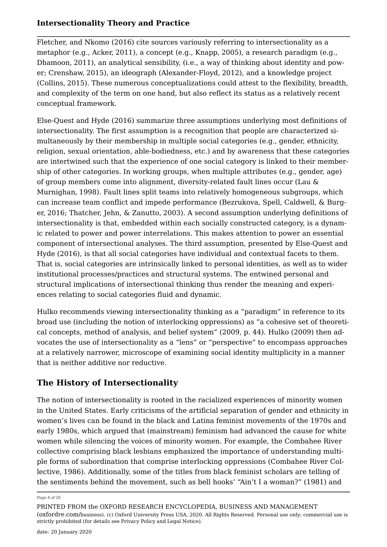Fletcher, and Nkomo (2016) cite sources variously referring to intersectionality as a metaphor (e.g., Acker, 2011), a concept (e.g., Knapp, 2005), a research paradigm (e.g., Dhamoon, 2011), an analytical sensibility, (i.e., a way of thinking about identity and power; Crenshaw, 2015), an ideograph (Alexander-Floyd, 2012), and a knowledge project (Collins, 2015). These numerous conceptualizations could attest to the flexibility, breadth, and complexity of the term on one hand, but also reflect its status as a relatively recent conceptual framework.

Else-Quest and Hyde (2016) summarize three assumptions underlying most definitions of intersectionality. The first assumption is a recognition that people are characterized simultaneously by their membership in multiple social categories (e.g., gender, ethnicity, religion, sexual orientation, able-bodiedness, etc.) and by awareness that these categories are intertwined such that the experience of one social category is linked to their membership of other categories. In working groups, when multiple attributes (e.g., gender, age) of group members come into alignment, diversity-related fault lines occur (Lau & Murnighan, 1998). Fault lines split teams into relatively homogeneous subgroups, which can increase team conflict and impede performance (Bezrukova, Spell, Caldwell, & Burger, 2016; Thatcher, Jehn, & Zanutto, 2003). A second assumption underlying definitions of intersectionality is that, embedded within each socially constructed category, is a dynamic related to power and power interrelations. This makes attention to power an essential component of intersectional analyses. The third assumption, presented by Else-Quest and Hyde (2016), is that all social categories have individual and contextual facets to them. That is, social categories are intrinsically linked to personal identities, as well as to wider institutional processes/practices and structural systems. The entwined personal and structural implications of intersectional thinking thus render the meaning and experiences relating to social categories fluid and dynamic.

Hulko recommends viewing intersectionality thinking as a "paradigm" in reference to its broad use (including the notion of interlocking oppressions) as "a cohesive set of theoretical concepts, method of analysis, and belief system" (2009, p. 44). Hulko (2009) then advocates the use of intersectionality as a "lens" or "perspective" to encompass approaches at a relatively narrower, microscope of examining social identity multiplicity in a manner that is neither additive nor reductive.

## **The History of Intersectionality**

The notion of intersectionality is rooted in the racialized experiences of minority women in the United States. Early criticisms of the artificial separation of gender and ethnicity in women's lives can be found in the black and Latina feminist movements of the 1970s and early 1980s, which argued that (mainstream) feminism had advanced the cause for white women while silencing the voices of minority women. For example, the Combahee River collective comprising black lesbians emphasized the importance of understanding multiple forms of subordination that comprise interlocking oppressions (Combahee River Collective, 1986). Additionally, some of the titles from black feminist scholars are telling of the sentiments behind the movement, such as bell hooks' "Ain't I a woman?" (1981) and

Page 4 of 20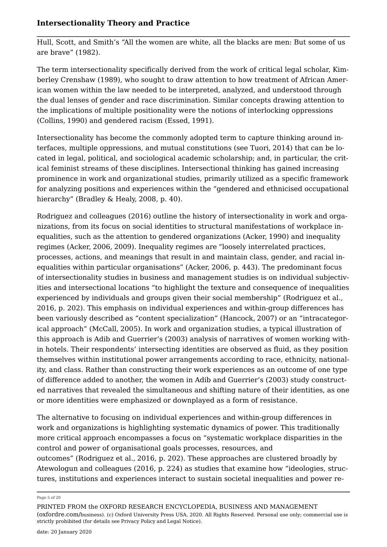Hull, Scott, and Smith's "All the women are white, all the blacks are men: But some of us are brave" (1982).

The term intersectionality specifically derived from the work of critical legal scholar, Kimberley Crenshaw (1989), who sought to draw attention to how treatment of African American women within the law needed to be interpreted, analyzed, and understood through the dual lenses of gender and race discrimination. Similar concepts drawing attention to the implications of multiple positionality were the notions of interlocking oppressions (Collins, 1990) and gendered racism (Essed, 1991).

Intersectionality has become the commonly adopted term to capture thinking around interfaces, multiple oppressions, and mutual constitutions (see Tuori, 2014) that can be located in legal, political, and sociological academic scholarship; and, in particular, the critical feminist streams of these disciplines. Intersectional thinking has gained increasing prominence in work and organizational studies, primarily utilized as a specific framework for analyzing positions and experiences within the "gendered and ethnicised occupational hierarchy" (Bradley & Healy, 2008, p. 40).

Rodriguez and colleagues (2016) outline the history of intersectionality in work and organizations, from its focus on social identities to structural manifestations of workplace inequalities, such as the attention to gendered organizations (Acker, 1990) and inequality regimes (Acker, 2006, 2009). Inequality regimes are *"*loosely interrelated practices, processes, actions, and meanings that result in and maintain class, gender, and racial inequalities within particular organisations" (Acker, 2006, p. 443). The predominant focus of intersectionality studies in business and management studies is on individual subjectivities and intersectional locations "to highlight the texture and consequence of inequalities experienced by individuals and groups given their social membership" (Rodriguez et al., 2016, p. 202). This emphasis on individual experiences and within-group differences has been variously described as "content specialization" (Hancock, 2007) or an "intracategorical approach" (McCall, 2005). In work and organization studies, a typical illustration of this approach is Adib and Guerrier's (2003) analysis of narratives of women working within hotels. Their respondents' intersecting identities are observed as fluid, as they position themselves within institutional power arrangements according to race, ethnicity, nationality, and class. Rather than constructing their work experiences as an outcome of one type of difference added to another, the women in Adib and Guerrier's (2003) study constructed narratives that revealed the simultaneous and shifting nature of their identities, as one or more identities were emphasized or downplayed as a form of resistance.

The alternative to focusing on individual experiences and within-group differences in work and organizations is highlighting systematic dynamics of power. This traditionally more critical approach encompasses a focus on "systematic workplace disparities in the control and power of organisational goals processes, resources, and outcomes" (Rodriguez et al., 2016, p. 202). These approaches are clustered broadly by Atewologun and colleagues (2016, p. 224) as studies that examine how "ideologies, structures, institutions and experiences interact to sustain societal inequalities and power re

Page 5 of 20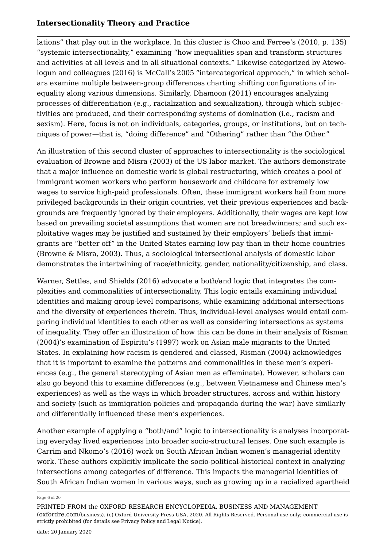lations" that play out in the workplace. In this cluster is Choo and Ferree's (2010, p. 135) "systemic intersectionality," examining "how inequalities span and transform structures and activities at all levels and in all situational contexts." Likewise categorized by Atewologun and colleagues (2016) is McCall's 2005 "intercategorical approach," in which scholars examine multiple between-group differences charting shifting configurations of inequality along various dimensions. Similarly, Dhamoon (2011) encourages analyzing processes of differentiation (e.g., racialization and sexualization), through which subjectivities are produced, and their corresponding systems of domination (i.e., racism and sexism). Here, focus is not on individuals, categories, groups, or institutions, but on techniques of power—that is, "doing difference" and "Othering" rather than "the Other."

An illustration of this second cluster of approaches to intersectionality is the sociological evaluation of Browne and Misra (2003) of the US labor market. The authors demonstrate that a major influence on domestic work is global restructuring, which creates a pool of immigrant women workers who perform housework and childcare for extremely low wages to service high-paid professionals. Often, these immigrant workers hail from more privileged backgrounds in their origin countries, yet their previous experiences and backgrounds are frequently ignored by their employers. Additionally, their wages are kept low based on prevailing societal assumptions that women are not breadwinners; and such exploitative wages may be justified and sustained by their employers' beliefs that immigrants are "better off" in the United States earning low pay than in their home countries (Browne & Misra, 2003). Thus, a sociological intersectional analysis of domestic labor demonstrates the intertwining of race/ethnicity, gender, nationality/citizenship, and class.

Warner, Settles, and Shields (2016) advocate a both/and logic that integrates the complexities and commonalities of intersectionality. This logic entails examining individual identities and making group-level comparisons, while examining additional intersections and the diversity of experiences therein. Thus, individual-level analyses would entail comparing individual identities to each other as well as considering intersections as systems of inequality. They offer an illustration of how this can be done in their analysis of Risman (2004)'s examination of Espiritu's (1997) work on Asian male migrants to the United States. In explaining how racism is gendered and classed, Risman (2004) acknowledges that it is important to examine the patterns and commonalities in these men's experiences (e.g., the general stereotyping of Asian men as effeminate). However, scholars can also go beyond this to examine differences (e.g., between Vietnamese and Chinese men's experiences) as well as the ways in which broader structures, across and within history and society (such as immigration policies and propaganda during the war) have similarly and differentially influenced these men's experiences.

Another example of applying a "both/and" logic to intersectionality is analyses incorporating everyday lived experiences into broader socio-structural lenses. One such example is Carrim and Nkomo's (2016) work on South African Indian women's managerial identity work. These authors explicitly implicate the socio-political-historical context in analyzing intersections among categories of difference. This impacts the managerial identities of South African Indian women in various ways, such as growing up in a racialized apartheid

#### Page 6 of 20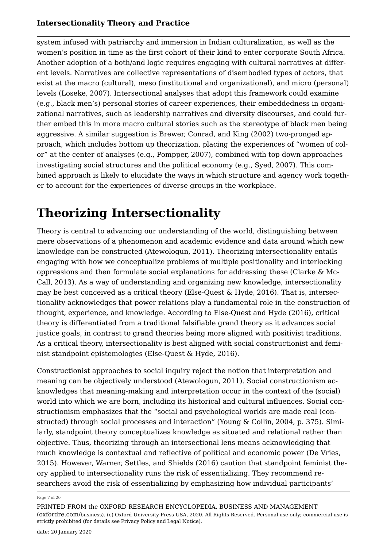system infused with patriarchy and immersion in Indian culturalization, as well as the women's position in time as the first cohort of their kind to enter corporate South Africa. Another adoption of a both/and logic requires engaging with cultural narratives at different levels. Narratives are collective representations of disembodied types of actors, that exist at the macro (cultural), meso (institutional and organizational), and micro (personal) levels (Loseke, 2007). Intersectional analyses that adopt this framework could examine (e.g., black men's) personal stories of career experiences, their embeddedness in organizational narratives, such as leadership narratives and diversity discourses, and could further embed this in more macro cultural stories such as the stereotype of black men being aggressive. A similar suggestion is Brewer, Conrad, and King (2002) two-pronged approach, which includes bottom up theorization, placing the experiences of "women of color" at the center of analyses (e.g., Pompper, 2007), combined with top down approaches investigating social structures and the political economy (e.g., Syed, 2007). This combined approach is likely to elucidate the ways in which structure and agency work together to account for the experiences of diverse groups in the workplace.

# **Theorizing Intersectionality**

Theory is central to advancing our understanding of the world, distinguishing between mere observations of a phenomenon and academic evidence and data around which new knowledge can be constructed (Atewologun, 2011). Theorizing intersectionality entails engaging with how we conceptualize problems of multiple positionality and interlocking oppressions and then formulate social explanations for addressing these (Clarke & Mc-Call, 2013). As a way of understanding and organizing new knowledge, intersectionality may be best conceived as a critical theory (Else-Quest & Hyde, 2016). That is, intersectionality acknowledges that power relations play a fundamental role in the construction of thought, experience, and knowledge. According to Else-Quest and Hyde (2016), critical theory is differentiated from a traditional falsifiable grand theory as it advances social justice goals, in contrast to grand theories being more aligned with positivist traditions. As a critical theory, intersectionality is best aligned with social constructionist and feminist standpoint epistemologies (Else-Quest & Hyde, 2016).

Constructionist approaches to social inquiry reject the notion that interpretation and meaning can be objectively understood (Atewologun, 2011). Social constructionism acknowledges that meaning-making and interpretation occur in the context of the (social) world into which we are born, including its historical and cultural influences. Social constructionism emphasizes that the "social and psychological worlds are made real (constructed) through social processes and interaction" (Young & Collin, 2004, p. 375). Similarly, standpoint theory conceptualizes knowledge as situated and relational rather than objective. Thus, theorizing through an intersectional lens means acknowledging that much knowledge is contextual and reflective of political and economic power (De Vries, 2015). However, Warner, Settles, and Shields (2016) caution that standpoint feminist theory applied to intersectionality runs the risk of essentializing. They recommend researchers avoid the risk of essentializing by emphasizing how individual participants'

#### Page 7 of 20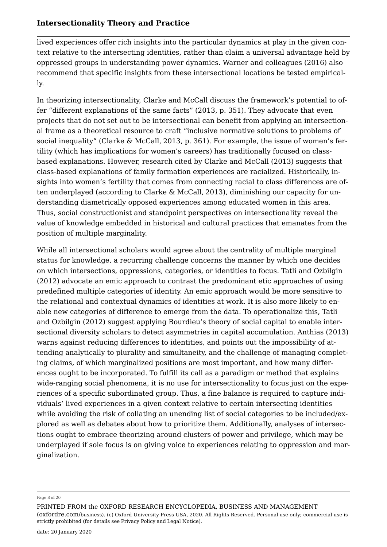lived experiences offer rich insights into the particular dynamics at play in the given context relative to the intersecting identities, rather than claim a universal advantage held by oppressed groups in understanding power dynamics. Warner and colleagues (2016) also recommend that specific insights from these intersectional locations be tested empirically.

In theorizing intersectionality, Clarke and McCall discuss the framework's potential to offer "different explanations of the same facts" (2013, p. 351). They advocate that even projects that do not set out to be intersectional can benefit from applying an intersectional frame as a theoretical resource to craft "inclusive normative solutions to problems of social inequality" (Clarke & McCall, 2013, p. 361). For example, the issue of women's fertility (which has implications for women's careers) has traditionally focused on classbased explanations. However, research cited by Clarke and McCall (2013) suggests that class-based explanations of family formation experiences are racialized. Historically, insights into women's fertility that comes from connecting racial to class differences are often underplayed (according to Clarke & McCall, 2013), diminishing our capacity for understanding diametrically opposed experiences among educated women in this area. Thus, social constructionist and standpoint perspectives on intersectionality reveal the value of knowledge embedded in historical and cultural practices that emanates from the position of multiple marginality.

While all intersectional scholars would agree about the centrality of multiple marginal status for knowledge, a recurring challenge concerns the manner by which one decides on which intersections, oppressions, categories, or identities to focus. Tatli and Ozbilgin (2012) advocate an emic approach to contrast the predominant etic approaches of using predefined multiple categories of identity. An emic approach would be more sensitive to the relational and contextual dynamics of identities at work. It is also more likely to enable new categories of difference to emerge from the data. To operationalize this, Tatli and Ozbilgin (2012) suggest applying Bourdieu's theory of social capital to enable intersectional diversity scholars to detect asymmetries in capital accumulation. Anthias (2013) warns against reducing differences to identities, and points out the impossibility of attending analytically to plurality and simultaneity, and the challenge of managing completing claims, of which marginalized positions are most important, and how many differences ought to be incorporated. To fulfill its call as a paradigm or method that explains wide-ranging social phenomena, it is no use for intersectionality to focus just on the experiences of a specific subordinated group. Thus, a fine balance is required to capture individuals' lived experiences in a given context relative to certain intersecting identities while avoiding the risk of collating an unending list of social categories to be included/explored as well as debates about how to prioritize them. Additionally, analyses of intersections ought to embrace theorizing around clusters of power and privilege, which may be underplayed if sole focus is on giving voice to experiences relating to oppression and marginalization.

#### Page 8 of 20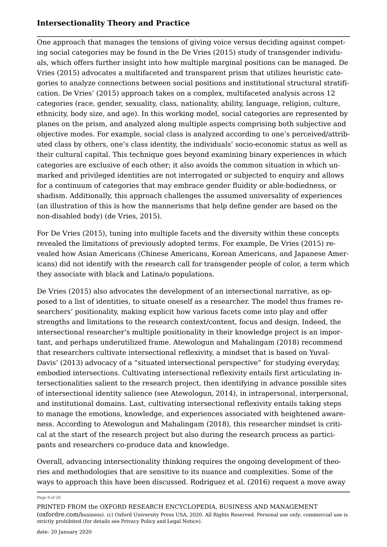One approach that manages the tensions of giving voice versus deciding against competing social categories may be found in the De Vries (2015) study of transgender individuals, which offers further insight into how multiple marginal positions can be managed. De Vries (2015) advocates a multifaceted and transparent prism that utilizes heuristic categories to analyze connections between social positions and institutional structural stratification. De Vries' (2015) approach takes on a complex, multifaceted analysis across 12 categories (race, gender, sexuality, class, nationality, ability, language, religion, culture, ethnicity, body size, and age). In this working model, social categories are represented by planes on the prism, and analyzed along multiple aspects comprising both subjective and objective modes. For example, social class is analyzed according to one's perceived/attributed class by others, one's class identity, the individuals' socio-economic status as well as their cultural capital. This technique goes beyond examining binary experiences in which categories are exclusive of each other; it also avoids the common situation in which unmarked and privileged identities are not interrogated or subjected to enquiry and allows for a continuum of categories that may embrace gender fluidity or able-bodiedness, or shadism. Additionally, this approach challenges the assumed universality of experiences (an illustration of this is how the mannerisms that help define gender are based on the non-disabled body) (de Vries, 2015).

For De Vries (2015), tuning into multiple facets and the diversity within these concepts revealed the limitations of previously adopted terms. For example, De Vries (2015) revealed how Asian Americans (Chinese Americans, Korean Americans, and Japanese Americans) did not identify with the research call for transgender people of color, a term which they associate with black and Latina/o populations.

De Vries (2015) also advocates the development of an intersectional narrative, as opposed to a list of identities, to situate oneself as a researcher. The model thus frames researchers' positionality, making explicit how various facets come into play and offer strengths and limitations to the research context/content, focus and design. Indeed, the intersectional researcher's multiple positionality in their knowledge project is an important, and perhaps underutilized frame. Atewologun and Mahalingam (2018) recommend that researchers cultivate intersectional reflexivity, a mindset that is based on Yuval-Davis' (2013) advocacy of a "situated intersectional perspective" for studying everyday, embodied intersections. Cultivating intersectional reflexivity entails first articulating intersectionalities salient to the research project, then identifying in advance possible sites of intersectional identity salience (see Atewologun, 2014), in intrapersonal, interpersonal, and institutional domains. Last, cultivating intersectional reflexivity entails taking steps to manage the emotions, knowledge, and experiences associated with heightened awareness. According to Atewologun and Mahalingam (2018), this researcher mindset is critical at the start of the research project but also during the research process as participants and researchers co-produce data and knowledge.

Overall, advancing intersectionality thinking requires the ongoing development of theories and methodologies that are sensitive to its nuance and complexities. Some of the ways to approach this have been discussed. Rodriguez et al. (2016) request a move away

Page 9 of 20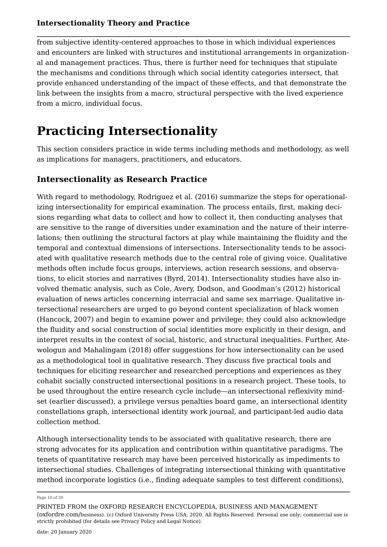from subjective identity-centered approaches to those in which individual experiences and encounters are linked with structures and institutional arrangements in organizational and management practices. Thus, there is further need for techniques that stipulate the mechanisms and conditions through which social identity categories intersect, that provide enhanced understanding of the impact of these effects, and that demonstrate the link between the insights from a macro, structural perspective with the lived experience from a micro, individual focus.

## **Practicing Intersectionality**

This section considers practice in wide terms including methods and methodology, as well as implications for managers, practitioners, and educators.

## **Intersectionality as Research Practice**

With regard to methodology, Rodriguez et al. (2016) summarize the steps for operationalizing intersectionality for empirical examination. The process entails, first, making decisions regarding what data to collect and how to collect it, then conducting analyses that are sensitive to the range of diversities under examination and the nature of their interrelations; then outlining the structural factors at play while maintaining the fluidity and the temporal and contextual dimensions of intersections. Intersectionality tends to be associated with qualitative research methods due to the central role of giving voice. Qualitative methods often include focus groups, interviews, action research sessions, and observations, to elicit stories and narratives (Byrd, 2014). Intersectionality studies have also involved thematic analysis, such as Cole, Avery, Dodson, and Goodman's (2012) historical evaluation of news articles concerning interracial and same sex marriage. Qualitative intersectional researchers are urged to go beyond content specialization of black women (Hancock, 2007) and begin to examine power and privilege; they could also acknowledge the fluidity and social construction of social identities more explicitly in their design, and interpret results in the context of social, historic, and structural inequalities. Further, Atewologun and Mahalingam (2018) offer suggestions for how intersectionality can be used as a methodological tool in qualitative research. They discuss five practical tools and techniques for eliciting researcher and researched perceptions and experiences as they cohabit socially constructed intersectional positions in a research project. These tools, to be used throughout the entire research cycle include—an intersectional reflexivity mindset (earlier discussed), a privilege versus penalties board game, an intersectional identity constellations graph, intersectional identity work journal, and participant-led audio data collection method.

Although intersectionality tends to be associated with qualitative research, there are strong advocates for its application and contribution within quantitative paradigms. The tenets of quantitative research may have been perceived historically as impediments to intersectional studies. Challenges of integrating intersectional thinking with quantitative method incorporate logistics (i.e., finding adequate samples to test different conditions),

Page 10 of 20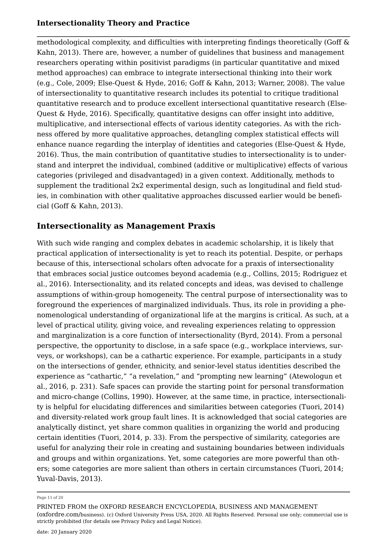methodological complexity, and difficulties with interpreting findings theoretically (Goff & Kahn, 2013). There are, however, a number of guidelines that business and management researchers operating within positivist paradigms (in particular quantitative and mixed method approaches) can embrace to integrate intersectional thinking into their work (e.g., Cole, 2009; Else-Quest & Hyde, 2016; Goff & Kahn, 2013; Warner, 2008). The value of intersectionality to quantitative research includes its potential to critique traditional quantitative research and to produce excellent intersectional quantitative research (Else-Quest & Hyde, 2016). Specifically, quantitative designs can offer insight into additive, multiplicative, and intersectional effects of various identity categories. As with the richness offered by more qualitative approaches, detangling complex statistical effects will enhance nuance regarding the interplay of identities and categories (Else-Quest & Hyde, 2016). Thus, the main contribution of quantitative studies to intersectionality is to understand and interpret the individual, combined (additive or multiplicative) effects of various categories (privileged and disadvantaged) in a given context. Additionally, methods to supplement the traditional 2x2 experimental design, such as longitudinal and field studies, in combination with other qualitative approaches discussed earlier would be beneficial (Goff & Kahn, 2013).

## **Intersectionality as Management Praxis**

With such wide ranging and complex debates in academic scholarship, it is likely that practical application of intersectionality is yet to reach its potential. Despite, or perhaps because of this, intersectional scholars often advocate for a praxis of intersectionality that embraces social justice outcomes beyond academia (e.g., Collins, 2015; Rodriguez et al., 2016). Intersectionality, and its related concepts and ideas, was devised to challenge assumptions of within-group homogeneity. The central purpose of intersectionality was to foreground the experiences of marginalized individuals. Thus, its role in providing a phenomenological understanding of organizational life at the margins is critical. As such, at a level of practical utility, giving voice, and revealing experiences relating to oppression and marginalization is a core function of intersectionality (Byrd, 2014). From a personal perspective, the opportunity to disclose, in a safe space (e.g., workplace interviews, surveys, or workshops), can be a cathartic experience. For example, participants in a study on the intersections of gender, ethnicity, and senior-level status identities described the experience as "cathartic," "a revelation," and "prompting new learning" (Atewologun et al., 2016, p. 231). Safe spaces can provide the starting point for personal transformation and micro-change (Collins, 1990). However, at the same time, in practice, intersectionality is helpful for elucidating differences and similarities between categories (Tuori, 2014) and diversity-related work group fault lines. It is acknowledged that social categories are analytically distinct, yet share common qualities in organizing the world and producing certain identities (Tuori, 2014, p. 33). From the perspective of similarity, categories are useful for analyzing their role in creating and sustaining boundaries between individuals and groups and within organizations. Yet, some categories are more powerful than others; some categories are more salient than others in certain circumstances (Tuori, 2014; Yuval-Davis, 2013).

Page 11 of 20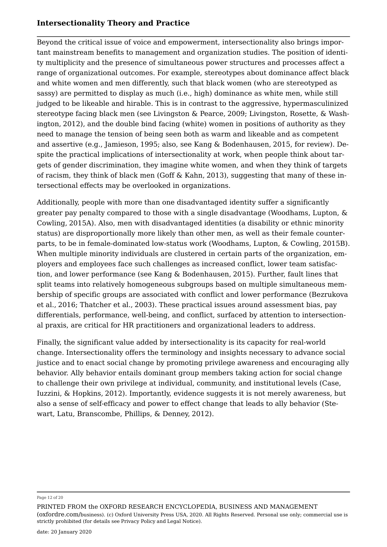Beyond the critical issue of voice and empowerment, intersectionality also brings important mainstream benefits to management and organization studies. The position of identity multiplicity and the presence of simultaneous power structures and processes affect a range of organizational outcomes. For example, stereotypes about dominance affect black and white women and men differently, such that black women (who are stereotyped as sassy) are permitted to display as much (i.e., high) dominance as white men, while still judged to be likeable and hirable. This is in contrast to the aggressive, hypermasculinized stereotype facing black men (see Livingston & Pearce, 2009; Livingston, Rosette, & Washington, 2012), and the double bind facing (white) women in positions of authority as they need to manage the tension of being seen both as warm and likeable and as competent and assertive (e.g., Jamieson, 1995; also, see Kang & Bodenhausen, 2015, for review). Despite the practical implications of intersectionality at work, when people think about targets of gender discrimination, they imagine white women, and when they think of targets of racism, they think of black men (Goff & Kahn, 2013), suggesting that many of these intersectional effects may be overlooked in organizations.

Additionally, people with more than one disadvantaged identity suffer a significantly greater pay penalty compared to those with a single disadvantage (Woodhams, Lupton, & Cowling, 2015A). Also, men with disadvantaged identities (a disability or ethnic minority status) are disproportionally more likely than other men, as well as their female counterparts, to be in female-dominated low-status work (Woodhams, Lupton, & Cowling, 2015B). When multiple minority individuals are clustered in certain parts of the organization, employers and employees face such challenges as increased conflict, lower team satisfaction, and lower performance (see Kang & Bodenhausen, 2015). Further, fault lines that split teams into relatively homogeneous subgroups based on multiple simultaneous membership of specific groups are associated with conflict and lower performance (Bezrukova et al., 2016; Thatcher et al., 2003). These practical issues around assessment bias, pay differentials, performance, well-being, and conflict, surfaced by attention to intersectional praxis, are critical for HR practitioners and organizational leaders to address.

Finally, the significant value added by intersectionality is its capacity for real-world change. Intersectionality offers the terminology and insights necessary to advance social justice and to enact social change by promoting privilege awareness and encouraging ally behavior. Ally behavior entails dominant group members taking action for social change to challenge their own privilege at individual, community, and institutional levels (Case, Iuzzini, & Hopkins, 2012). Importantly, evidence suggests it is not merely awareness, but also a sense of self-efficacy and power to effect change that leads to ally behavior (Stewart, Latu, Branscombe, Phillips, & Denney, 2012).

#### Page 12 of 20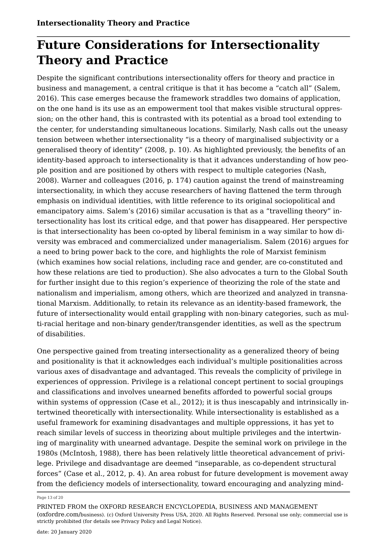# **Future Considerations for Intersectionality Theory and Practice**

Despite the significant contributions intersectionality offers for theory and practice in business and management, a central critique is that it has become a "catch all" (Salem, 2016). This case emerges because the framework straddles two domains of application, on the one hand is its use as an empowerment tool that makes visible structural oppression; on the other hand, this is contrasted with its potential as a broad tool extending to the center, for understanding simultaneous locations. Similarly, Nash calls out the uneasy tension between whether intersectionality "is a theory of marginalised subjectivity or a generalised theory of identity" (2008, p. 10). As highlighted previously, the benefits of an identity-based approach to intersectionality is that it advances understanding of how people position and are positioned by others with respect to multiple categories (Nash, 2008). Warner and colleagues (2016, p. 174) caution against the trend of mainstreaming intersectionality, in which they accuse researchers of having flattened the term through emphasis on individual identities, with little reference to its original sociopolitical and emancipatory aims. Salem's (2016) similar accusation is that as a "travelling theory" intersectionality has lost its critical edge, and that power has disappeared. Her perspective is that intersectionality has been co-opted by liberal feminism in a way similar to how diversity was embraced and commercialized under managerialism. Salem (2016) argues for a need to bring power back to the core, and highlights the role of Marxist feminism (which examines how social relations, including race and gender, are co-constituted and how these relations are tied to production). She also advocates a turn to the Global South for further insight due to this region's experience of theorizing the role of the state and nationalism and imperialism, among others, which are theorized and analyzed in transnational Marxism. Additionally, to retain its relevance as an identity-based framework, the future of intersectionality would entail grappling with non-binary categories, such as multi-racial heritage and non-binary gender/transgender identities, as well as the spectrum of disabilities.

One perspective gained from treating intersectionality as a generalized theory of being and positionality is that it acknowledges each individual's multiple positionalities across various axes of disadvantage and advantaged. This reveals the complicity of privilege in experiences of oppression. Privilege is a relational concept pertinent to social groupings and classifications and involves unearned benefits afforded to powerful social groups within systems of oppression (Case et al., 2012); it is thus inescapably and intrinsically intertwined theoretically with intersectionality. While intersectionality is established as a useful framework for examining disadvantages and multiple oppressions, it has yet to reach similar levels of success in theorizing about multiple privileges and the intertwining of marginality with unearned advantage. Despite the seminal work on privilege in the 1980s (McIntosh, 1988), there has been relatively little theoretical advancement of privilege. Privilege and disadvantage are deemed "inseparable, as co-dependent structural forces" (Case et al., 2012, p. 4). An area robust for future development is movement away from the deficiency models of intersectionality, toward encouraging and analyzing mind

#### Page 13 of 20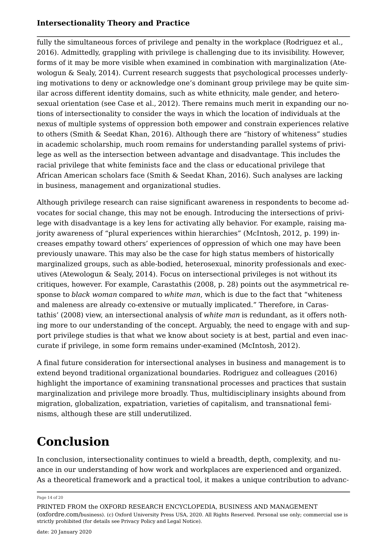fully the simultaneous forces of privilege and penalty in the workplace (Rodriguez et al., 2016). Admittedly, grappling with privilege is challenging due to its invisibility. However, forms of it may be more visible when examined in combination with marginalization (Atewologun & Sealy, 2014). Current research suggests that psychological processes underlying motivations to deny or acknowledge one's dominant group privilege may be quite similar across different identity domains, such as white ethnicity, male gender, and heterosexual orientation (see Case et al., 2012). There remains much merit in expanding our notions of intersectionality to consider the ways in which the location of individuals at the nexus of multiple systems of oppression both empower and constrain experiences relative to others (Smith & Seedat Khan, 2016). Although there are "history of whiteness" studies in academic scholarship, much room remains for understanding parallel systems of privilege as well as the intersection between advantage and disadvantage. This includes the racial privilege that white feminists face and the class or educational privilege that African American scholars face (Smith & Seedat Khan, 2016). Such analyses are lacking in business, management and organizational studies.

Although privilege research can raise significant awareness in respondents to become advocates for social change, this may not be enough. Introducing the intersections of privilege with disadvantage is a key lens for activating ally behavior. For example, raising majority awareness of "plural experiences within hierarchies" (McIntosh, 2012, p. 199) increases empathy toward others' experiences of oppression of which one may have been previously unaware. This may also be the case for high status members of historically marginalized groups, such as able-bodied, heterosexual, minority professionals and executives (Atewologun & Sealy, 2014). Focus on intersectional privileges is not without its critiques, however. For example, Carastathis (2008, p. 28) points out the asymmetrical response to *black woman* compared to *white man*, which is due to the fact that "whiteness and maleness are already co-extensive or mutually implicated." Therefore, in Carastathis' (2008) view, an intersectional analysis of *white man* is redundant, as it offers nothing more to our understanding of the concept. Arguably, the need to engage with and support privilege studies is that what we know about society is at best, partial and even inaccurate if privilege, in some form remains under-examined (McIntosh, 2012).

A final future consideration for intersectional analyses in business and management is to extend beyond traditional organizational boundaries. Rodriguez and colleagues (2016) highlight the importance of examining transnational processes and practices that sustain marginalization and privilege more broadly. Thus, multidisciplinary insights abound from migration, globalization, expatriation, varieties of capitalism, and transnational feminisms, although these are still underutilized.

# **Conclusion**

In conclusion, intersectionality continues to wield a breadth, depth, complexity, and nuance in our understanding of how work and workplaces are experienced and organized. As a theoretical framework and a practical tool, it makes a unique contribution to advanc

Page 14 of 20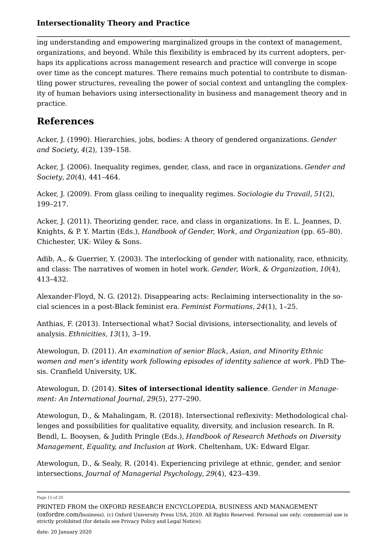ing understanding and empowering marginalized groups in the context of management, organizations, and beyond. While this flexibility is embraced by its current adopters, perhaps its applications across management research and practice will converge in scope over time as the concept matures. There remains much potential to contribute to dismantling power structures, revealing the power of social context and untangling the complexity of human behaviors using intersectionality in business and management theory and in practice.

## **References**

Acker, J. (1990). Hierarchies, jobs, bodies: A theory of gendered organizations. *Gender and Society*, *4*(2), 139–158.

Acker, J. (2006). Inequality regimes, gender, class, and race in organizations. *Gender and Society*, *20*(4), 441–464.

Acker, J. (2009). From glass ceiling to inequality regimes. *Sociologie du Travail*, *51*(2), 199–217.

Acker, J. (2011). Theorizing gender, race, and class in organizations. In E. L. Jeannes, D. Knights, & P. Y. Martin (Eds.), *Handbook of Gender, Work, and Organization* (pp. 65–80). Chichester, UK: Wiley & Sons.

Adib, A., & Guerrier, Y. (2003). The interlocking of gender with nationality, race, ethnicity, and class: The narratives of women in hotel work. *Gender, Work, & Organization*, *10*(4), 413–432.

Alexander-Floyd, N. G. (2012). Disappearing acts: Reclaiming intersectionality in the social sciences in a post-Black feminist era. *Feminist Formations*, *24*(1), 1–25.

Anthias, F. (2013). Intersectional what? Social divisions, intersectionality, and levels of analysis. *Ethnicities*, *13*(1), 3–19.

Atewologun, D. (2011). *An examination of senior Black, Asian, and Minority Ethnic women and men's identity work following episodes of identity salience at work*. PhD Thesis. Cranfield University, UK.

Atewologun, D. (2014). **Sites of intersectional identity salience**. *Gender in Management: An International Journal*, *29*(5), 277–290.

Atewologun, D., & Mahalingam, R. (2018). Intersectional reflexivity: Methodological challenges and possibilities for qualitative equality, diversity, and inclusion research. In R. Bendl, L. Booysen, & Judith Pringle (Eds.), *Handbook of Research Methods on Diversity Management, Equality, and Inclusion at Work*. Cheltenham, UK: Edward Elgar.

Atewologun, D., & Sealy, R. (2014). Experiencing privilege at ethnic, gender, and senior intersections, *Journal of Managerial Psychology*, *29*(4), 423–439.

Page 15 of 20

PRINTED FROM the OXFORD RESEARCH ENCYCLOPEDIA, BUSINESS AND MANAGEMENT (oxfordre.com/business). (c) Oxford University Press USA, 2020. All Rights Reserved. Personal use only; commercial use is strictly prohibited (for details see Privacy Policy and Legal Notice).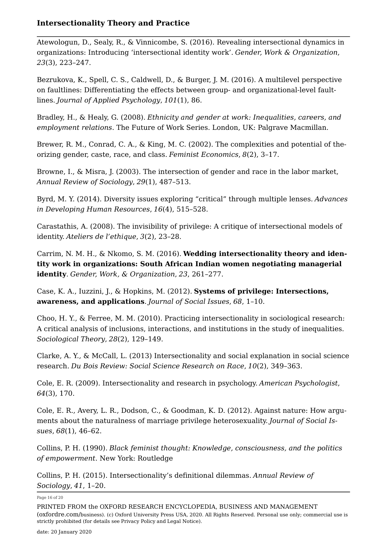Atewologun, D., Sealy, R., & Vinnicombe, S. (2016). Revealing intersectional dynamics in organizations: Introducing 'intersectional identity work'. *Gender, Work & Organization*, *23*(3), 223–247.

Bezrukova, K., Spell, C. S., Caldwell, D., & Burger, J. M. (2016). A multilevel perspective on faultlines: Differentiating the effects between group- and organizational-level faultlines. *Journal of Applied Psychology*, *101*(1), 86.

Bradley, H., & Healy, G. (2008). *Ethnicity and gender at work: Inequalities, careers, and employment relations*. The Future of Work Series. London, UK: Palgrave Macmillan.

Brewer, R. M., Conrad, C. A., & King, M. C. (2002). The complexities and potential of theorizing gender, caste, race, and class. *Feminist Economics*, *8*(2), 3–17.

Browne, I., & Misra, J. (2003). The intersection of gender and race in the labor market, *Annual Review of Sociology*, *29*(1), 487–513.

Byrd, M. Y. (2014). Diversity issues exploring "critical" through multiple lenses. *Advances in Developing Human Resources*, *16*(4), 515–528.

Carastathis, A. (2008). The invisibility of privilege: A critique of intersectional models of identity. *Ateliers de l'ethique*, *3*(2), 23–28.

Carrim, N. M. H., & Nkomo, S. M. (2016). **Wedding intersectionality theory and identity work in organizations: South African Indian women negotiating managerial identity**. *Gender, Work, & Organization*, *23*, 261–277.

Case, K. A., Iuzzini, J., & Hopkins, M. (2012). **Systems of privilege: Intersections, awareness, and applications**. *Journal of Social Issues*, *68*, 1–10.

Choo, H. Y., & Ferree, M. M. (2010). Practicing intersectionality in sociological research: A critical analysis of inclusions, interactions, and institutions in the study of inequalities. *Sociological Theory*, *28*(2), 129–149.

Clarke, A. Y., & McCall, L. (2013) Intersectionality and social explanation in social science research. *Du Bois Review: Social Science Research on Race*, *10*(2), 349–363.

Cole, E. R. (2009). Intersectionality and research in psychology. *American Psychologist*, *64*(3), 170.

Cole, E. R., Avery, L. R., Dodson, C., & Goodman, K. D. (2012). Against nature: How arguments about the naturalness of marriage privilege heterosexuality. *Journal of Social Issues*, *68*(1), 46–62.

Collins, P. H. (1990). *Black feminist thought: Knowledge, consciousness, and the politics of empowerment*. New York: Routledge

Collins, P. H. (2015). Intersectionality's definitional dilemmas. *Annual Review of Sociology*, *41*, 1–20.

Page 16 of 20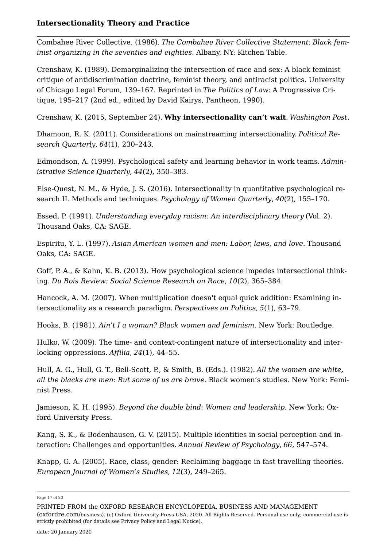Combahee River Collective. (1986). *The Combahee River Collective Statement*: *Black feminist organizing in the seventies and eighties*. Albany, NY: Kitchen Table.

Crenshaw, K. (1989). Demarginalizing the intersection of race and sex: A black feminist critique of antidiscrimination doctrine, feminist theory, and antiracist politics. University of Chicago Legal Forum, 139–167. Reprinted in *The Politics of Law:* A Progressive Critique, 195–217 (2nd ed., edited by David Kairys, Pantheon, 1990).

Crenshaw, K. (2015, September 24). **Why intersectionality can't wait**. *Washington Post*.

Dhamoon, R. K. (2011). Considerations on mainstreaming intersectionality. *Political Research Quarterly*, *64*(1), 230–243.

Edmondson, A. (1999). Psychological safety and learning behavior in work teams. *Administrative Science Quarterly*, *44*(2), 350–383.

Else-Quest, N. M., & Hyde, J. S. (2016). Intersectionality in quantitative psychological research II. Methods and techniques. *Psychology of Women Quarterly*, *40*(2), 155–170.

Essed, P. (1991). *Understanding everyday racism: An interdisciplinary theory* (Vol. 2). Thousand Oaks, CA: SAGE.

Espiritu, Y. L. (1997). *Asian American women and men: Labor, laws, and love*. Thousand Oaks, CA: SAGE.

Goff, P. A., & Kahn, K. B. (2013). How psychological science impedes intersectional thinking. *Du Bois Review: Social Science Research on Race*, *10*(2), 365–384.

Hancock, A. M. (2007). When multiplication doesn't equal quick addition: Examining intersectionality as a research paradigm. *Perspectives on Politics*, *5*(1), 63–79.

Hooks, B. (1981). *Ain't I a woman? Black women and feminism*. New York: Routledge.

Hulko, W. (2009). The time- and context-contingent nature of intersectionality and interlocking oppressions. *Affilia*, *24*(1), 44–55.

Hull, A. G., Hull, G. T., Bell-Scott, P., & Smith, B. (Eds.). (1982). *All the women are white, all the blacks are men: But some of us are brave*. Black women's studies. New York: Feminist Press.

Jamieson, K. H. (1995). *Beyond the double bind: Women and leadership*. New York: Oxford University Press.

Kang, S. K., & Bodenhausen, G. V. (2015). Multiple identities in social perception and interaction: Challenges and opportunities. *Annual Review of Psychology*, *66*, 547–574.

Knapp, G. A. (2005). Race, class, gender: Reclaiming baggage in fast travelling theories. *European Journal of Women's Studies*, *12*(3), 249–265.

(oxfordre.com/business). (c) Oxford University Press USA, 2020. All Rights Reserved. Personal use only; commercial use is strictly prohibited (for details see Privacy Policy and Legal Notice).

Page 17 of 20

PRINTED FROM the OXFORD RESEARCH ENCYCLOPEDIA, BUSINESS AND MANAGEMENT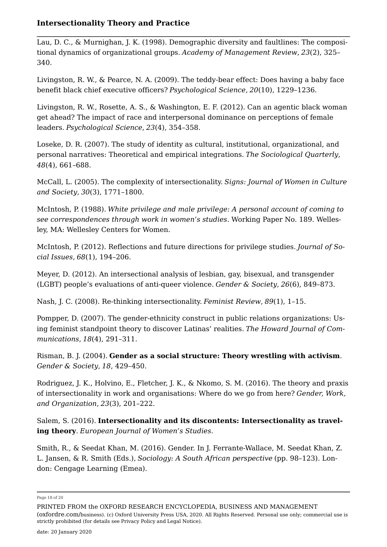Lau, D. C., & Murnighan, J. K. (1998). Demographic diversity and faultlines: The compositional dynamics of organizational groups. *Academy of Management Review*, *23*(2), 325– 340.

Livingston, R. W., & Pearce, N. A. (2009). The teddy-bear effect: Does having a baby face benefit black chief executive officers? *Psychological Science*, *20*(10), 1229–1236.

Livingston, R. W., Rosette, A. S., & Washington, E. F. (2012). Can an agentic black woman get ahead? The impact of race and interpersonal dominance on perceptions of female leaders. *Psychological Science*, *23*(4), 354–358.

Loseke, D. R. (2007). The study of identity as cultural, institutional, organizational, and personal narratives: Theoretical and empirical integrations. *The Sociological Quarterly*, *48*(4), 661–688.

McCall, L. (2005). The complexity of intersectionality. *Signs: Journal of Women in Culture and Society*, *30*(3), 1771–1800.

McIntosh, P. (1988). *White privilege and male privilege: A personal account of coming to see correspondences through work in women's studies*. Working Paper No. 189. Wellesley, MA: Wellesley Centers for Women.

McIntosh, P. (2012). Reflections and future directions for privilege studies. *Journal of Social Issues*, *68*(1), 194–206.

Meyer, D. (2012). An intersectional analysis of lesbian, gay, bisexual, and transgender (LGBT) people's evaluations of anti-queer violence. *Gender & Society*, *26*(6), 849–873.

Nash, J. C. (2008). Re-thinking intersectionality. *Feminist Review*, *89*(1), 1–15.

Pompper, D. (2007). The gender-ethnicity construct in public relations organizations: Using feminist standpoint theory to discover Latinas' realities. *The Howard Journal of Communications*, *18*(4), 291–311.

Risman, B. J. (2004). **Gender as a social structure: Theory wrestling with activism**. *Gender & Society*, *18*, 429–450.

Rodriguez, J. K., Holvino, E., Fletcher, J. K., & Nkomo, S. M. (2016). The theory and praxis of intersectionality in work and organisations: Where do we go from here? *Gender, Work, and Organization*, *23*(3), 201–222.

Salem, S. (2016). **Intersectionality and its discontents: Intersectionality as traveling theory**. *European Journal of Women's Studies*.

Smith, R., & Seedat Khan, M. (2016). Gender. In J. Ferrante-Wallace, M. Seedat Khan, Z. L. Jansen, & R. Smith (Eds.), *Sociology: A South African perspective* (pp. 98–123). London: Cengage Learning (Emea).

Page 18 of 20

PRINTED FROM the OXFORD RESEARCH ENCYCLOPEDIA, BUSINESS AND MANAGEMENT (oxfordre.com/business). (c) Oxford University Press USA, 2020. All Rights Reserved. Personal use only; commercial use is strictly prohibited (for details see Privacy Policy and Legal Notice).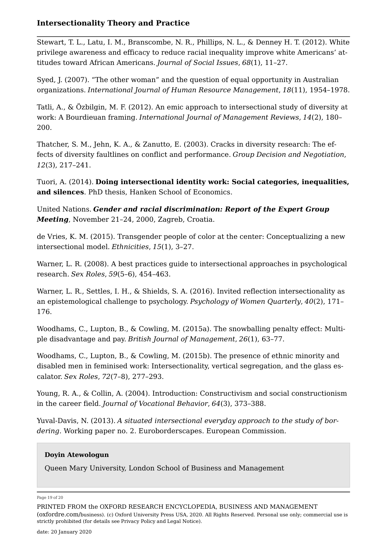Stewart, T. L., Latu, I. M., Branscombe, N. R., Phillips, N. L., & Denney H. T. (2012). White privilege awareness and efficacy to reduce racial inequality improve white Americans' attitudes toward African Americans. *Journal of Social Issues*, *68*(1), 11–27.

Syed, J. (2007). "The other woman" and the question of equal opportunity in Australian organizations. *International Journal of Human Resource Management*, *18*(11), 1954–1978.

Tatli, A., & Özbilgin, M. F. (2012). An emic approach to intersectional study of diversity at work: A Bourdieuan framing. *International Journal of Management Reviews*, *14*(2), 180– 200.

Thatcher, S. M., Jehn, K. A., & Zanutto, E. (2003). Cracks in diversity research: The effects of diversity faultlines on conflict and performance. *Group Decision and Negotiation*, *12*(3), 217–241.

Tuori, A. (2014). **Doing intersectional identity work: Social categories, inequalities, and silences**. PhD thesis, Hanken School of Economics.

United Nations. *Gender and racial discrimination: Report of the Expert Group Meeting*, November 21–24, 2000, Zagreb, Croatia.

de Vries, K. M. (2015). Transgender people of color at the center: Conceptualizing a new intersectional model. *Ethnicities*, *15*(1), 3–27.

Warner, L. R. (2008). A best practices guide to intersectional approaches in psychological research. *Sex Roles*, *59*(5–6), 454–463.

Warner, L. R., Settles, I. H., & Shields, S. A. (2016). Invited reflection intersectionality as an epistemological challenge to psychology. *Psychology of Women Quarterly*, *40*(2), 171– 176.

Woodhams, C., Lupton, B., & Cowling, M. (2015a). The snowballing penalty effect: Multiple disadvantage and pay. *British Journal of Management*, *26*(1), 63–77.

Woodhams, C., Lupton, B., & Cowling, M. (2015b). The presence of ethnic minority and disabled men in feminised work: Intersectionality, vertical segregation, and the glass escalator. *Sex Roles*, *72*(7–8), 277–293.

Young, R. A., & Collin, A. (2004). Introduction: Constructivism and social constructionism in the career field. *Journal of Vocational Behavior*, *64*(3), 373–388.

Yuval-Davis, N. (2013). *A situated intersectional everyday approach to the study of bordering*. Working paper no. 2. Euroborderscapes. European Commission.

#### **Doyin Atewologun**

Queen Mary University, London School of Business and Management

#### Page 19 of 20